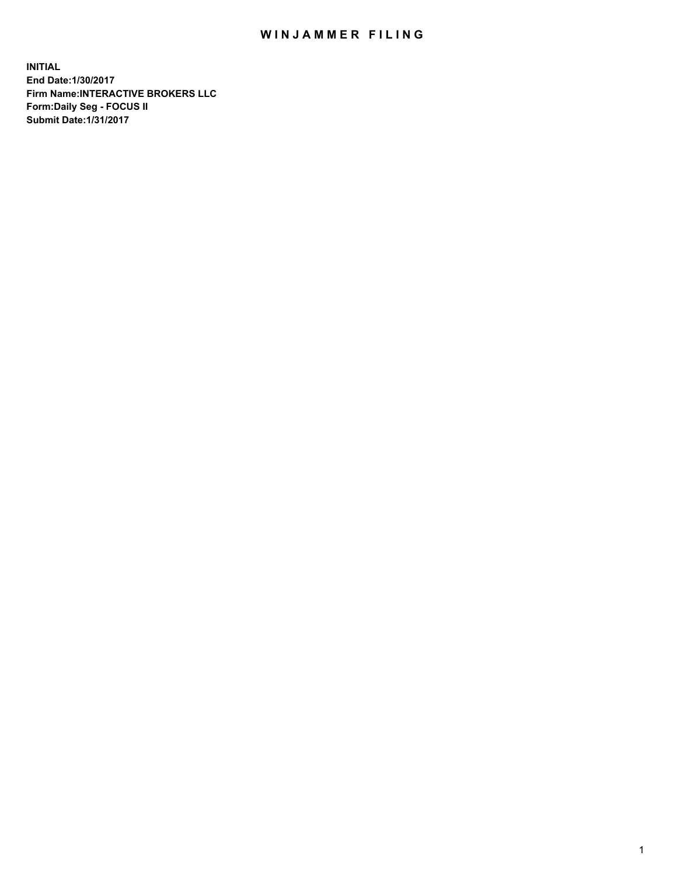## WIN JAMMER FILING

**INITIAL End Date:1/30/2017 Firm Name:INTERACTIVE BROKERS LLC Form:Daily Seg - FOCUS II Submit Date:1/31/2017**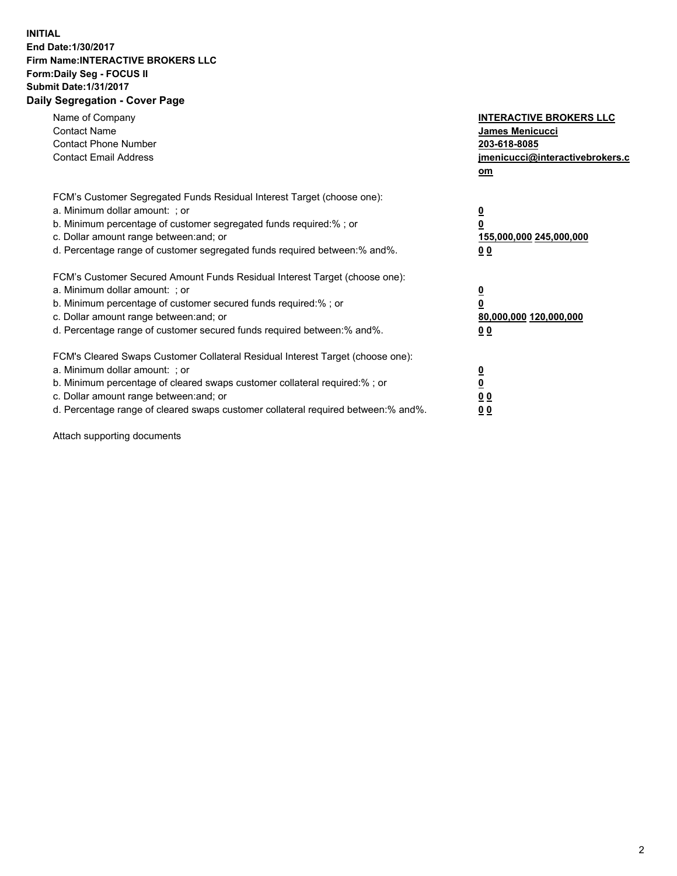## **INITIAL End Date:1/30/2017 Firm Name:INTERACTIVE BROKERS LLC Form:Daily Seg - FOCUS II Submit Date:1/31/2017 Daily Segregation - Cover Page**

| Name of Company<br><b>Contact Name</b><br><b>Contact Phone Number</b><br><b>Contact Email Address</b>                                                                                                                                                                                                                          | <b>INTERACTIVE BROKERS LLC</b><br><b>James Menicucci</b><br>203-618-8085<br>jmenicucci@interactivebrokers.c<br>om |
|--------------------------------------------------------------------------------------------------------------------------------------------------------------------------------------------------------------------------------------------------------------------------------------------------------------------------------|-------------------------------------------------------------------------------------------------------------------|
| FCM's Customer Segregated Funds Residual Interest Target (choose one):<br>a. Minimum dollar amount: ; or<br>b. Minimum percentage of customer segregated funds required:%; or<br>c. Dollar amount range between: and; or<br>d. Percentage range of customer segregated funds required between:% and%.                          | $\overline{\mathbf{0}}$<br>0<br>155,000,000 245,000,000<br>0 <sub>0</sub>                                         |
| FCM's Customer Secured Amount Funds Residual Interest Target (choose one):<br>a. Minimum dollar amount: ; or<br>b. Minimum percentage of customer secured funds required:%; or<br>c. Dollar amount range between: and; or<br>d. Percentage range of customer secured funds required between: % and %.                          | $\overline{\mathbf{0}}$<br>0<br>80,000,000 120,000,000<br>0 <sub>0</sub>                                          |
| FCM's Cleared Swaps Customer Collateral Residual Interest Target (choose one):<br>a. Minimum dollar amount: ; or<br>b. Minimum percentage of cleared swaps customer collateral required:% ; or<br>c. Dollar amount range between: and; or<br>d. Percentage range of cleared swaps customer collateral required between:% and%. | $\overline{\mathbf{0}}$<br>$\overline{\mathbf{0}}$<br>0 <sub>0</sub><br><u>00</u>                                 |

Attach supporting documents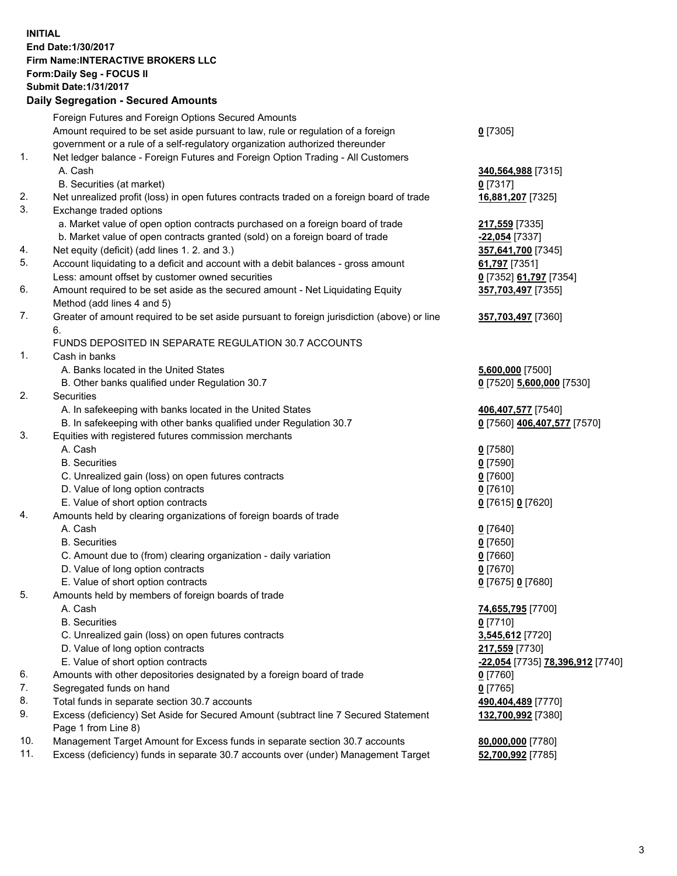## **INITIAL End Date:1/30/2017 Firm Name:INTERACTIVE BROKERS LLC Form:Daily Seg - FOCUS II Submit Date:1/31/2017**

|     | <b>Daily Segregation - Secured Amounts</b>                                                           |                                  |
|-----|------------------------------------------------------------------------------------------------------|----------------------------------|
|     | Foreign Futures and Foreign Options Secured Amounts                                                  |                                  |
|     | Amount required to be set aside pursuant to law, rule or regulation of a foreign                     | $0$ [7305]                       |
|     | government or a rule of a self-regulatory organization authorized thereunder                         |                                  |
| 1.  | Net ledger balance - Foreign Futures and Foreign Option Trading - All Customers                      |                                  |
|     | A. Cash                                                                                              | 340,564,988 [7315]               |
|     | B. Securities (at market)                                                                            | 0 [7317]                         |
| 2.  | Net unrealized profit (loss) in open futures contracts traded on a foreign board of trade            | 16,881,207 [7325]                |
| 3.  | Exchange traded options                                                                              |                                  |
|     | a. Market value of open option contracts purchased on a foreign board of trade                       | 217,559 [7335]                   |
|     | b. Market value of open contracts granted (sold) on a foreign board of trade                         | <u>-22,054</u> [7337]            |
| 4.  | Net equity (deficit) (add lines 1. 2. and 3.)                                                        | 357,641,700 [7345]               |
| 5.  | Account liquidating to a deficit and account with a debit balances - gross amount                    | 61,797 [7351]                    |
|     | Less: amount offset by customer owned securities                                                     | 0 [7352] 61,797 [7354]           |
| 6.  | Amount required to be set aside as the secured amount - Net Liquidating Equity                       | 357,703,497 [7355]               |
| 7.  | Method (add lines 4 and 5)                                                                           |                                  |
|     | Greater of amount required to be set aside pursuant to foreign jurisdiction (above) or line<br>6.    | 357,703,497 [7360]               |
|     | FUNDS DEPOSITED IN SEPARATE REGULATION 30.7 ACCOUNTS                                                 |                                  |
| 1.  | Cash in banks                                                                                        |                                  |
|     | A. Banks located in the United States                                                                | 5,600,000 [7500]                 |
|     | B. Other banks qualified under Regulation 30.7                                                       | 0 [7520] 5,600,000 [7530]        |
| 2.  | Securities                                                                                           |                                  |
|     | A. In safekeeping with banks located in the United States                                            | 406,407,577 [7540]               |
|     | B. In safekeeping with other banks qualified under Regulation 30.7                                   | 0 [7560] 406,407,577 [7570]      |
| 3.  | Equities with registered futures commission merchants                                                |                                  |
|     | A. Cash                                                                                              | $0$ [7580]                       |
|     | <b>B.</b> Securities                                                                                 | $0$ [7590]                       |
|     | C. Unrealized gain (loss) on open futures contracts                                                  | $0$ [7600]                       |
|     | D. Value of long option contracts                                                                    | $0$ [7610]                       |
|     | E. Value of short option contracts                                                                   | 0 [7615] 0 [7620]                |
| 4.  | Amounts held by clearing organizations of foreign boards of trade                                    |                                  |
|     | A. Cash                                                                                              | $0$ [7640]                       |
|     | <b>B.</b> Securities                                                                                 | $0$ [7650]                       |
|     | C. Amount due to (from) clearing organization - daily variation<br>D. Value of long option contracts | 0 [7660]<br>$0$ [7670]           |
|     | E. Value of short option contracts                                                                   | 0 [7675] 0 [7680]                |
| 5.  | Amounts held by members of foreign boards of trade                                                   |                                  |
|     | A. Cash                                                                                              | 74,655,795 [7700]                |
|     | <b>B.</b> Securities                                                                                 | $0$ [7710]                       |
|     | C. Unrealized gain (loss) on open futures contracts                                                  | 3,545,612 [7720]                 |
|     | D. Value of long option contracts                                                                    | 217,559 [7730]                   |
|     | E. Value of short option contracts                                                                   | -22,054 [7735] 78,396,912 [7740] |
| 6.  | Amounts with other depositories designated by a foreign board of trade                               | 0 [7760]                         |
| 7.  | Segregated funds on hand                                                                             | $0$ [7765]                       |
| 8.  | Total funds in separate section 30.7 accounts                                                        | 490,404,489 [7770]               |
| 9.  | Excess (deficiency) Set Aside for Secured Amount (subtract line 7 Secured Statement                  | 132,700,992 [7380]               |
|     | Page 1 from Line 8)                                                                                  |                                  |
| 10. | Management Target Amount for Excess funds in separate section 30.7 accounts                          | 80,000,000 [7780]                |
| 11. | Excess (deficiency) funds in separate 30.7 accounts over (under) Management Target                   | 52,700,992 [7785]                |
|     |                                                                                                      |                                  |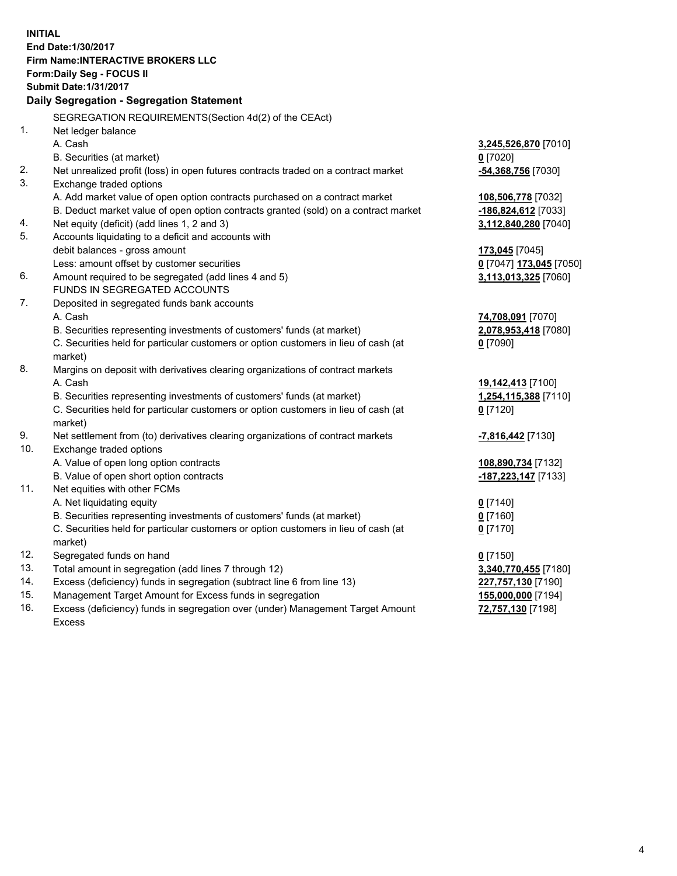**INITIAL End Date:1/30/2017 Firm Name:INTERACTIVE BROKERS LLC Form:Daily Seg - FOCUS II Submit Date:1/31/2017 Daily Segregation - Segregation Statement** SEGREGATION REQUIREMENTS(Section 4d(2) of the CEAct) 1. Net ledger balance A. Cash **3,245,526,870** [7010] B. Securities (at market) **0** [7020] 2. Net unrealized profit (loss) in open futures contracts traded on a contract market **-54,368,756** [7030] 3. Exchange traded options A. Add market value of open option contracts purchased on a contract market **108,506,778** [7032] B. Deduct market value of open option contracts granted (sold) on a contract market **-186,824,612** [7033] 4. Net equity (deficit) (add lines 1, 2 and 3) **3,112,840,280** [7040] 5. Accounts liquidating to a deficit and accounts with debit balances - gross amount **173,045** [7045] Less: amount offset by customer securities **0** [7047] **173,045** [7050] 6. Amount required to be segregated (add lines 4 and 5) **3,113,013,325** [7060] FUNDS IN SEGREGATED ACCOUNTS 7. Deposited in segregated funds bank accounts A. Cash **74,708,091** [7070] B. Securities representing investments of customers' funds (at market) **2,078,953,418** [7080] C. Securities held for particular customers or option customers in lieu of cash (at market) **0** [7090] 8. Margins on deposit with derivatives clearing organizations of contract markets A. Cash **19,142,413** [7100] B. Securities representing investments of customers' funds (at market) **1,254,115,388** [7110] C. Securities held for particular customers or option customers in lieu of cash (at market) **0** [7120] 9. Net settlement from (to) derivatives clearing organizations of contract markets **-7,816,442** [7130] 10. Exchange traded options A. Value of open long option contracts **108,890,734** [7132] B. Value of open short option contracts **-187,223,147** [7133] 11. Net equities with other FCMs A. Net liquidating equity **0** [7140] B. Securities representing investments of customers' funds (at market) **0** [7160] C. Securities held for particular customers or option customers in lieu of cash (at market) **0** [7170] 12. Segregated funds on hand **0** [7150] 13. Total amount in segregation (add lines 7 through 12) **3,340,770,455** [7180] 14. Excess (deficiency) funds in segregation (subtract line 6 from line 13) **227,757,130** [7190] 15. Management Target Amount for Excess funds in segregation **155,000,000** [7194]

16. Excess (deficiency) funds in segregation over (under) Management Target Amount Excess

**72,757,130** [7198]